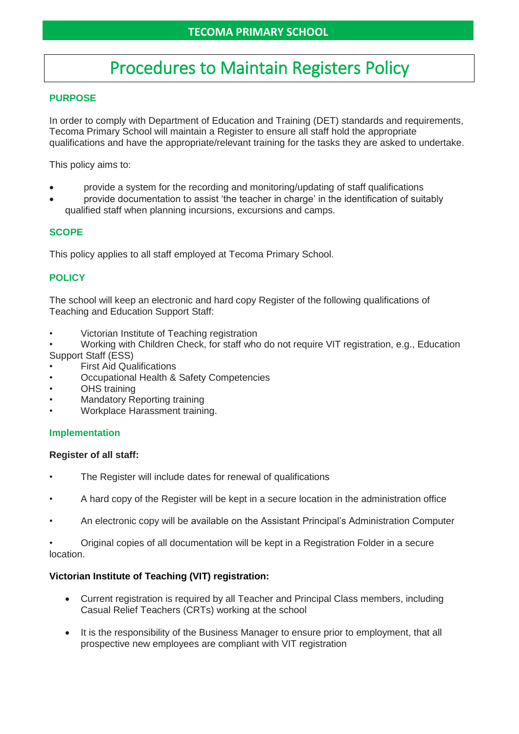# Procedures to Maintain Registers Policy

## **PURPOSE**

In order to comply with Department of Education and Training (DET) standards and requirements, Tecoma Primary School will maintain a Register to ensure all staff hold the appropriate qualifications and have the appropriate/relevant training for the tasks they are asked to undertake.

This policy aims to:

- provide a system for the recording and monitoring/updating of staff qualifications
- provide documentation to assist 'the teacher in charge' in the identification of suitably qualified staff when planning incursions, excursions and camps.

# **SCOPE**

This policy applies to all staff employed at Tecoma Primary School.

# **POLICY**

The school will keep an electronic and hard copy Register of the following qualifications of Teaching and Education Support Staff:

- Victorian Institute of Teaching registration
- Working with Children Check, for staff who do not require VIT registration, e.g., Education Support Staff (ESS)
- First Aid Qualifications
- Occupational Health & Safety Competencies
- **OHS** training
- Mandatory Reporting training
- Workplace Harassment training.

#### **Implementation**

#### **Register of all staff:**

- The Register will include dates for renewal of qualifications
- A hard copy of the Register will be kept in a secure location in the administration office
- An electronic copy will be available on the Assistant Principal's Administration Computer

• Original copies of all documentation will be kept in a Registration Folder in a secure location.

#### **Victorian Institute of Teaching (VIT) registration:**

- Current registration is required by all Teacher and Principal Class members, including Casual Relief Teachers (CRTs) working at the school
- It is the responsibility of the Business Manager to ensure prior to employment, that all prospective new employees are compliant with VIT registration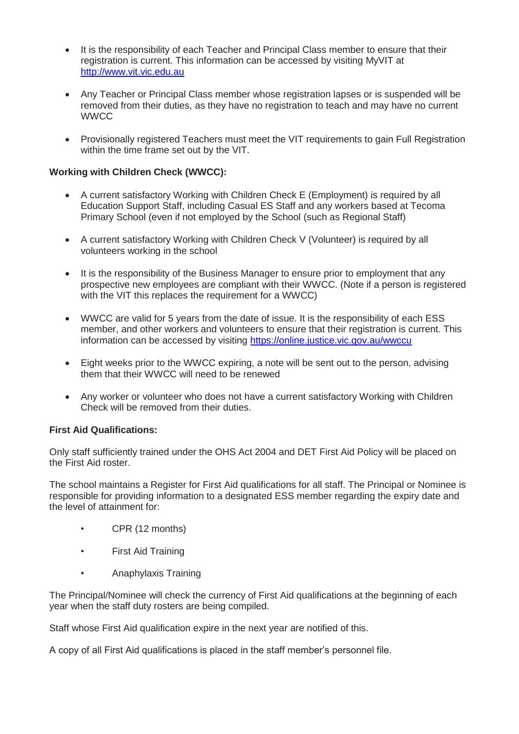- It is the responsibility of each Teacher and Principal Class member to ensure that their registration is current. This information can be accessed by visiting MyVIT at [http://www.vit.vic.edu.au](http://www.vit.vic.edu.au/)
- Any Teacher or Principal Class member whose registration lapses or is suspended will be removed from their duties, as they have no registration to teach and may have no current **WWCC**
- Provisionally registered Teachers must meet the VIT requirements to gain Full Registration within the time frame set out by the VIT.

#### **Working with Children Check (WWCC):**

- A current satisfactory Working with Children Check E (Employment) is required by all Education Support Staff, including Casual ES Staff and any workers based at Tecoma Primary School (even if not employed by the School (such as Regional Staff)
- A current satisfactory Working with Children Check V (Volunteer) is required by all volunteers working in the school
- It is the responsibility of the Business Manager to ensure prior to employment that any prospective new employees are compliant with their WWCC. (Note if a person is registered with the VIT this replaces the requirement for a WWCC)
- WWCC are valid for 5 years from the date of issue. It is the responsibility of each ESS member, and other workers and volunteers to ensure that their registration is current. This information can be accessed by visiting<https://online.justice.vic.gov.au/wwccu>
- Eight weeks prior to the WWCC expiring, a note will be sent out to the person, advising them that their WWCC will need to be renewed
- Any worker or volunteer who does not have a current satisfactory Working with Children Check will be removed from their duties.

#### **First Aid Qualifications:**

Only staff sufficiently trained under the OHS Act 2004 and DET First Aid Policy will be placed on the First Aid roster.

The school maintains a Register for First Aid qualifications for all staff. The Principal or Nominee is responsible for providing information to a designated ESS member regarding the expiry date and the level of attainment for:

- CPR (12 months)
- First Aid Training
- Anaphylaxis Training

The Principal/Nominee will check the currency of First Aid qualifications at the beginning of each year when the staff duty rosters are being compiled.

Staff whose First Aid qualification expire in the next year are notified of this.

A copy of all First Aid qualifications is placed in the staff member's personnel file.